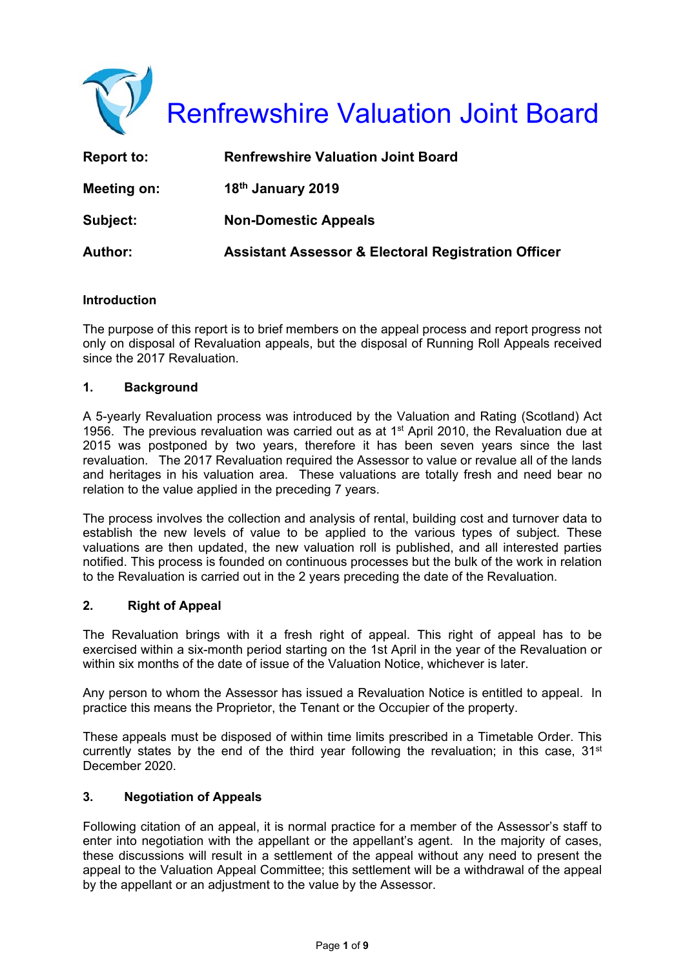

| <b>Report to:</b> | <b>Renfrewshire Valuation Joint Board</b>                      |
|-------------------|----------------------------------------------------------------|
| Meeting on:       | 18th January 2019                                              |
| Subject:          | <b>Non-Domestic Appeals</b>                                    |
| <b>Author:</b>    | <b>Assistant Assessor &amp; Electoral Registration Officer</b> |

#### **Introduction**

The purpose of this report is to brief members on the appeal process and report progress not only on disposal of Revaluation appeals, but the disposal of Running Roll Appeals received since the 2017 Revaluation.

# **1. Background**

A 5-yearly Revaluation process was introduced by the Valuation and Rating (Scotland) Act 1956. The previous revaluation was carried out as at  $1<sup>st</sup>$  April 2010, the Revaluation due at 2015 was postponed by two years, therefore it has been seven years since the last revaluation. The 2017 Revaluation required the Assessor to value or revalue all of the lands and heritages in his valuation area. These valuations are totally fresh and need bear no relation to the value applied in the preceding 7 years.

The process involves the collection and analysis of rental, building cost and turnover data to establish the new levels of value to be applied to the various types of subject. These valuations are then updated, the new valuation roll is published, and all interested parties notified. This process is founded on continuous processes but the bulk of the work in relation to the Revaluation is carried out in the 2 years preceding the date of the Revaluation.

#### **2. Right of Appeal**

The Revaluation brings with it a fresh right of appeal. This right of appeal has to be exercised within a six-month period starting on the 1st April in the year of the Revaluation or within six months of the date of issue of the Valuation Notice, whichever is later.

Any person to whom the Assessor has issued a Revaluation Notice is entitled to appeal. In practice this means the Proprietor, the Tenant or the Occupier of the property.

These appeals must be disposed of within time limits prescribed in a Timetable Order. This currently states by the end of the third year following the revaluation; in this case,  $31<sup>st</sup>$ December 2020.

#### **3. Negotiation of Appeals**

Following citation of an appeal, it is normal practice for a member of the Assessor's staff to enter into negotiation with the appellant or the appellant's agent. In the majority of cases, these discussions will result in a settlement of the appeal without any need to present the appeal to the Valuation Appeal Committee; this settlement will be a withdrawal of the appeal by the appellant or an adjustment to the value by the Assessor.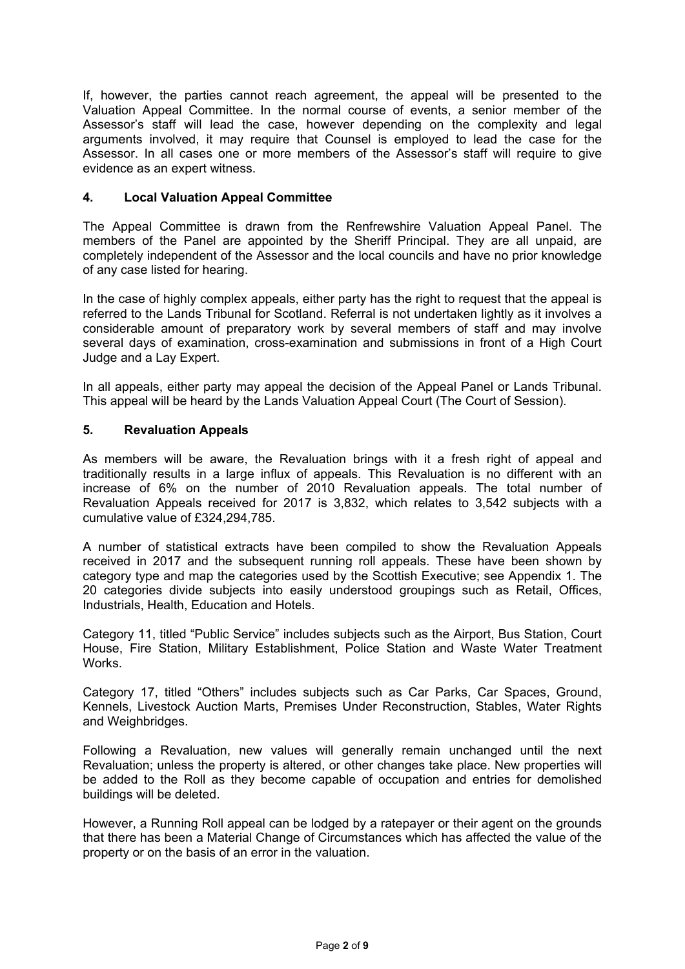If, however, the parties cannot reach agreement, the appeal will be presented to the Valuation Appeal Committee. In the normal course of events, a senior member of the Assessor's staff will lead the case, however depending on the complexity and legal arguments involved, it may require that Counsel is employed to lead the case for the Assessor. In all cases one or more members of the Assessor's staff will require to give evidence as an expert witness.

# **4. Local Valuation Appeal Committee**

The Appeal Committee is drawn from the Renfrewshire Valuation Appeal Panel. The members of the Panel are appointed by the Sheriff Principal. They are all unpaid, are completely independent of the Assessor and the local councils and have no prior knowledge of any case listed for hearing.

In the case of highly complex appeals, either party has the right to request that the appeal is referred to the Lands Tribunal for Scotland. Referral is not undertaken lightly as it involves a considerable amount of preparatory work by several members of staff and may involve several days of examination, cross-examination and submissions in front of a High Court Judge and a Lay Expert.

In all appeals, either party may appeal the decision of the Appeal Panel or Lands Tribunal. This appeal will be heard by the Lands Valuation Appeal Court (The Court of Session).

# **5. Revaluation Appeals**

As members will be aware, the Revaluation brings with it a fresh right of appeal and traditionally results in a large influx of appeals. This Revaluation is no different with an increase of 6% on the number of 2010 Revaluation appeals. The total number of Revaluation Appeals received for 2017 is 3,832, which relates to 3,542 subjects with a cumulative value of £324,294,785.

A number of statistical extracts have been compiled to show the Revaluation Appeals received in 2017 and the subsequent running roll appeals. These have been shown by category type and map the categories used by the Scottish Executive; see Appendix 1. The 20 categories divide subjects into easily understood groupings such as Retail, Offices, Industrials, Health, Education and Hotels.

Category 11, titled "Public Service" includes subjects such as the Airport, Bus Station, Court House, Fire Station, Military Establishment, Police Station and Waste Water Treatment Works.

Category 17, titled "Others" includes subjects such as Car Parks, Car Spaces, Ground, Kennels, Livestock Auction Marts, Premises Under Reconstruction, Stables, Water Rights and Weighbridges.

Following a Revaluation, new values will generally remain unchanged until the next Revaluation; unless the property is altered, or other changes take place. New properties will be added to the Roll as they become capable of occupation and entries for demolished buildings will be deleted.

However, a Running Roll appeal can be lodged by a ratepayer or their agent on the grounds that there has been a Material Change of Circumstances which has affected the value of the property or on the basis of an error in the valuation.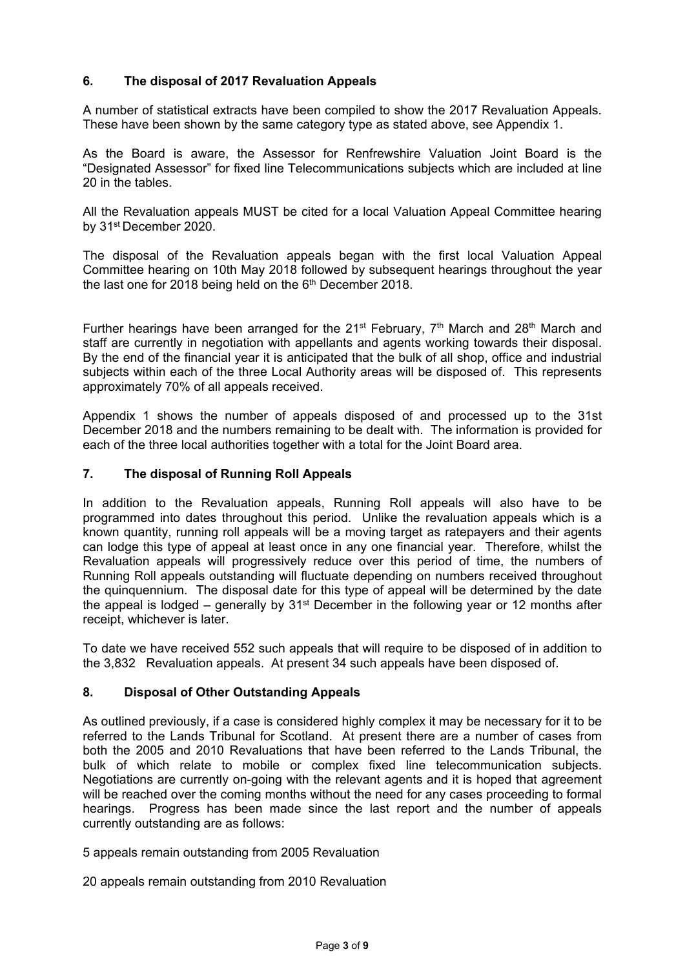# **6. The disposal of 2017 Revaluation Appeals**

A number of statistical extracts have been compiled to show the 2017 Revaluation Appeals. These have been shown by the same category type as stated above, see Appendix 1.

As the Board is aware, the Assessor for Renfrewshire Valuation Joint Board is the "Designated Assessor" for fixed line Telecommunications subjects which are included at line 20 in the tables.

All the Revaluation appeals MUST be cited for a local Valuation Appeal Committee hearing by 31st December 2020.

The disposal of the Revaluation appeals began with the first local Valuation Appeal Committee hearing on 10th May 2018 followed by subsequent hearings throughout the year the last one for 2018 being held on the  $6<sup>th</sup>$  December 2018.

Further hearings have been arranged for the 21<sup>st</sup> February,  $7<sup>th</sup>$  March and 28<sup>th</sup> March and staff are currently in negotiation with appellants and agents working towards their disposal. By the end of the financial year it is anticipated that the bulk of all shop, office and industrial subjects within each of the three Local Authority areas will be disposed of. This represents approximately 70% of all appeals received.

Appendix 1 shows the number of appeals disposed of and processed up to the 31st December 2018 and the numbers remaining to be dealt with. The information is provided for each of the three local authorities together with a total for the Joint Board area.

# **7. The disposal of Running Roll Appeals**

In addition to the Revaluation appeals, Running Roll appeals will also have to be programmed into dates throughout this period. Unlike the revaluation appeals which is a known quantity, running roll appeals will be a moving target as ratepayers and their agents can lodge this type of appeal at least once in any one financial year. Therefore, whilst the Revaluation appeals will progressively reduce over this period of time, the numbers of Running Roll appeals outstanding will fluctuate depending on numbers received throughout the quinquennium. The disposal date for this type of appeal will be determined by the date the appeal is lodged – generally by  $31<sup>st</sup>$  December in the following year or 12 months after receipt, whichever is later.

To date we have received 552 such appeals that will require to be disposed of in addition to the 3,832 Revaluation appeals. At present 34 such appeals have been disposed of.

#### **8. Disposal of Other Outstanding Appeals**

As outlined previously, if a case is considered highly complex it may be necessary for it to be referred to the Lands Tribunal for Scotland. At present there are a number of cases from both the 2005 and 2010 Revaluations that have been referred to the Lands Tribunal, the bulk of which relate to mobile or complex fixed line telecommunication subjects. Negotiations are currently on-going with the relevant agents and it is hoped that agreement will be reached over the coming months without the need for any cases proceeding to formal hearings. Progress has been made since the last report and the number of appeals currently outstanding are as follows:

5 appeals remain outstanding from 2005 Revaluation

20 appeals remain outstanding from 2010 Revaluation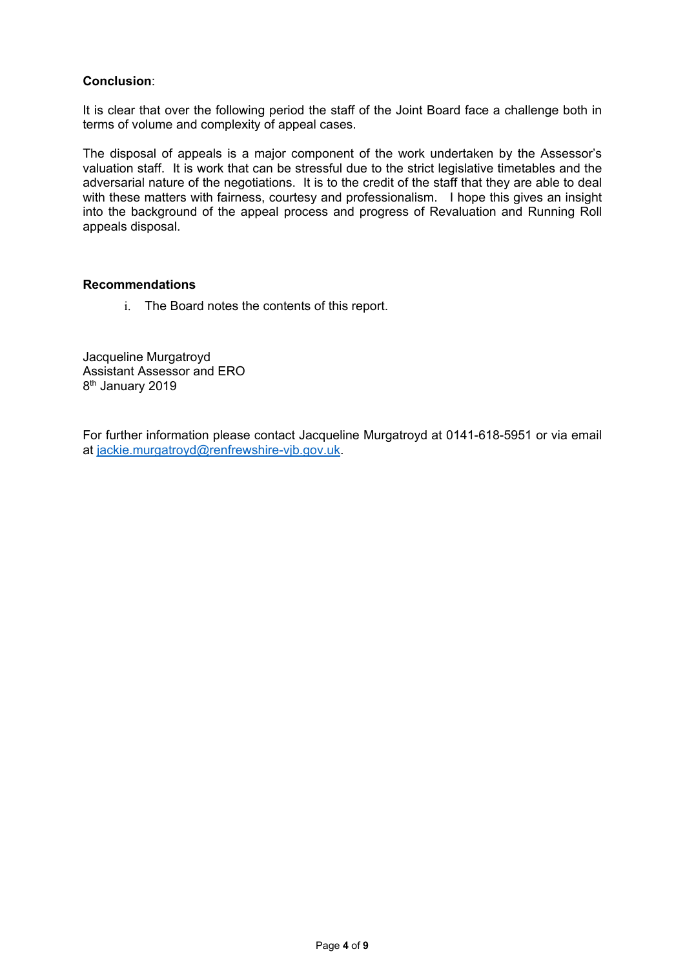### **Conclusion**:

It is clear that over the following period the staff of the Joint Board face a challenge both in terms of volume and complexity of appeal cases.

The disposal of appeals is a major component of the work undertaken by the Assessor's valuation staff. It is work that can be stressful due to the strict legislative timetables and the adversarial nature of the negotiations. It is to the credit of the staff that they are able to deal with these matters with fairness, courtesy and professionalism. I hope this gives an insight into the background of the appeal process and progress of Revaluation and Running Roll appeals disposal.

#### **Recommendations**

i. The Board notes the contents of this report.

Jacqueline Murgatroyd Assistant Assessor and ERO 8th January 2019

For further information please contact Jacqueline Murgatroyd at 0141-618-5951 or via email at jackie.murgatroyd@renfrewshire-vjb.gov.uk.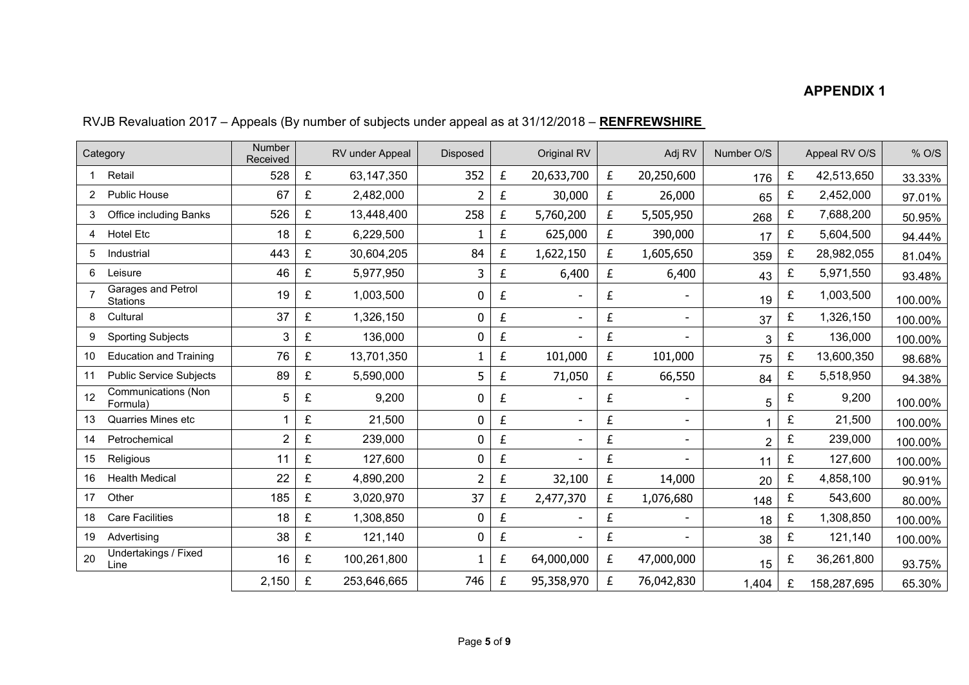# **APPENDIX 1**

|    | Category                               | Number<br>Received |   | RV under Appeal | <b>Disposed</b> |   | Original RV                  |   | Adj RV                   | Number O/S     |   | Appeal RV O/S | % O/S   |
|----|----------------------------------------|--------------------|---|-----------------|-----------------|---|------------------------------|---|--------------------------|----------------|---|---------------|---------|
|    | Retail                                 | 528                | £ | 63,147,350      | 352             | £ | 20,633,700                   | £ | 20,250,600               | 176            | £ | 42,513,650    | 33.33%  |
|    | <b>Public House</b>                    | 67                 | £ | 2,482,000       |                 | £ | 30,000                       | £ | 26,000                   | 65             | £ | 2,452,000     | 97.01%  |
| 3  | Office including Banks                 | 526                | £ | 13,448,400      | 258             | £ | 5,760,200                    | £ | 5,505,950                | 268            | £ | 7,688,200     | 50.95%  |
| 4  | Hotel Etc                              | 18                 | £ | 6,229,500       |                 | £ | 625,000                      | £ | 390,000                  | 17             | £ | 5,604,500     | 94.44%  |
| 5  | Industrial                             | 443                | £ | 30,604,205      | 84              | £ | 1,622,150                    | £ | 1,605,650                | 359            | £ | 28,982,055    | 81.04%  |
| 6  | Leisure                                | 46                 | £ | 5,977,950       | 3               | £ | 6,400                        | £ | 6,400                    | 43             | £ | 5,971,550     | 93.48%  |
|    | Garages and Petrol<br><b>Stations</b>  | 19                 | £ | 1,003,500       | 0               | £ |                              | £ |                          | 19             | £ | 1,003,500     | 100.00% |
| 8  | Cultural                               | 37                 | £ | 1,326,150       | 0               | £ | $\qquad \qquad \blacksquare$ | £ | $\overline{\phantom{a}}$ | 37             | £ | 1,326,150     | 100.00% |
| 9  | <b>Sporting Subjects</b>               | 3                  | £ | 136,000         | 0               | £ | $\blacksquare$               | £ |                          | 3              | £ | 136,000       | 100.00% |
| 10 | <b>Education and Training</b>          | 76                 | £ | 13,701,350      |                 | £ | 101,000                      | £ | 101,000                  | 75             | £ | 13,600,350    | 98.68%  |
| 11 | <b>Public Service Subjects</b>         | 89                 | £ | 5,590,000       | 5               | £ | 71,050                       | £ | 66,550                   | 84             | £ | 5,518,950     | 94.38%  |
| 12 | <b>Communications (Non</b><br>Formula) | 5                  | £ | 9,200           | 0               | £ |                              | £ |                          | 5              | £ | 9,200         | 100.00% |
| 13 | Quarries Mines etc                     |                    | £ | 21,500          | 0               | £ | $\blacksquare$               | £ | $\blacksquare$           |                | £ | 21,500        | 100.00% |
| 14 | Petrochemical                          | $\overline{2}$     | £ | 239,000         | 0               | £ | $\overline{a}$               | £ |                          | $\overline{2}$ | £ | 239,000       | 100.00% |
| 15 | Religious                              | 11                 | £ | 127,600         | 0               | £ |                              | £ |                          | 11             | £ | 127,600       | 100.00% |
| 16 | <b>Health Medical</b>                  | 22                 | £ | 4,890,200       | 2               | £ | 32,100                       | £ | 14,000                   | 20             | £ | 4,858,100     | 90.91%  |
| 17 | Other                                  | 185                | £ | 3,020,970       | 37              | £ | 2,477,370                    | £ | 1,076,680                | 148            | £ | 543,600       | 80.00%  |
| 18 | <b>Care Facilities</b>                 | 18                 | £ | 1,308,850       | 0               | £ |                              | £ |                          | 18             | £ | 1,308,850     | 100.00% |
| 19 | Advertising                            | 38                 | £ | 121,140         | 0               | £ |                              | £ |                          | 38             | £ | 121,140       | 100.00% |
| 20 | Undertakings / Fixed<br>Line           | 16                 | £ | 100,261,800     | 1               | £ | 64,000,000                   | £ | 47,000,000               | 15             | £ | 36,261,800    | 93.75%  |
|    |                                        | 2,150              | £ | 253,646,665     | 746             | £ | 95,358,970                   | £ | 76,042,830               | 1,404          | £ | 158,287,695   | 65.30%  |

# RVJB Revaluation 2017 – Appeals (By number of subjects under appeal as at 31/12/2018 – **RENFREWSHIRE**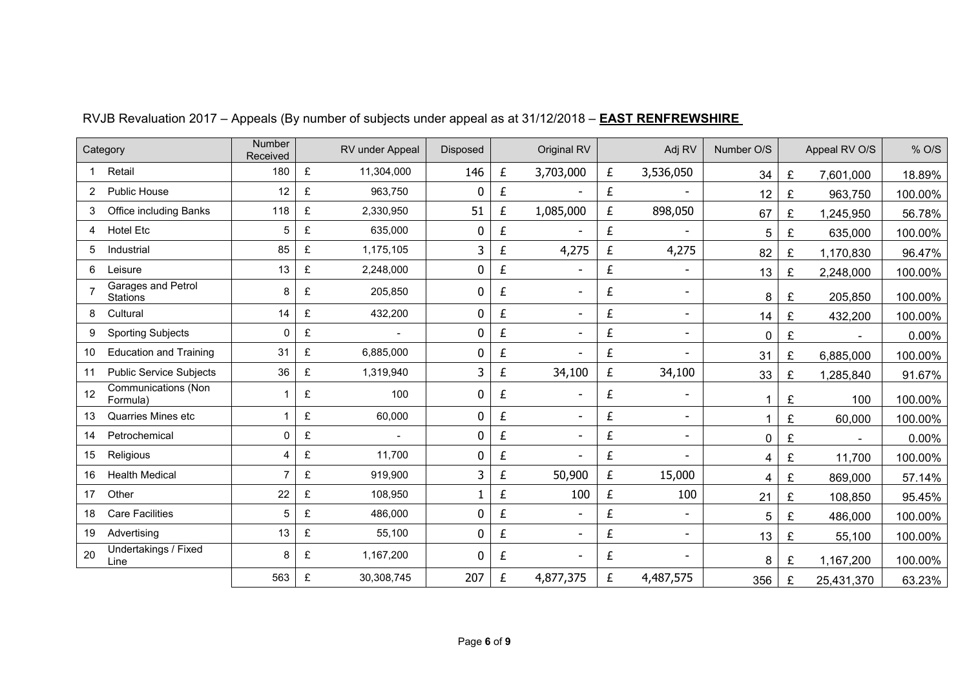|                | Category                               | Number<br>Received |   | RV under Appeal | <b>Disposed</b> |           | Original RV    |                    | Adj RV                   | Number O/S |   | Appeal RV O/S  | % O/S   |
|----------------|----------------------------------------|--------------------|---|-----------------|-----------------|-----------|----------------|--------------------|--------------------------|------------|---|----------------|---------|
|                | Retail                                 | 180                | £ | 11,304,000      | 146             | £         | 3,703,000      | £                  | 3,536,050                | 34         | £ | 7,601,000      | 18.89%  |
| $\overline{2}$ | <b>Public House</b>                    | 12                 | £ | 963,750         | 0               | £         |                | £                  | $\overline{a}$           | 12         | £ | 963,750        | 100.00% |
| 3              | Office including Banks                 | 118                | £ | 2,330,950       | 51              | £         | 1,085,000      | £                  | 898,050                  | 67         | £ | 1,245,950      | 56.78%  |
| 4              | <b>Hotel Etc</b>                       | 5                  | £ | 635,000         | $\bf{0}$        | £         |                | $\pmb{\mathit{f}}$ |                          | 5          | £ | 635,000        | 100.00% |
| 5              | Industrial                             | 85                 | £ | 1,175,105       | 3               | £         | 4,275          | £                  | 4,275                    | 82         | £ | 1,170,830      | 96.47%  |
| 6              | Leisure                                | 13                 | £ | 2,248,000       | 0               | £         |                | £                  | $\blacksquare$           | 13         | £ | 2,248,000      | 100.00% |
| $\overline{7}$ | Garages and Petrol<br><b>Stations</b>  | 8                  | £ | 205,850         | 0               | £         |                | £                  | $\overline{\phantom{a}}$ | 8          | £ | 205,850        | 100.00% |
| 8              | Cultural                               | 14                 | £ | 432,200         | 0               | £         |                | £                  | $\overline{\phantom{a}}$ | 14         | £ | 432,200        | 100.00% |
| 9              | <b>Sporting Subjects</b>               | 0                  | £ |                 | 0               | £         |                | £                  | $\blacksquare$           | 0          | £ |                | 0.00%   |
| 10             | <b>Education and Training</b>          | 31                 | £ | 6,885,000       | 0               | £         |                | £                  |                          | 31         | £ | 6,885,000      | 100.00% |
| 11             | <b>Public Service Subjects</b>         | 36                 | £ | 1,319,940       | 3               | £         | 34,100         | £                  | 34,100                   | 33         | £ | 1,285,840      | 91.67%  |
| 12             | <b>Communications (Non</b><br>Formula) |                    | £ | 100             | 0               | £         |                | £                  | $\blacksquare$           |            | £ | 100            | 100.00% |
| 13             | <b>Quarries Mines etc</b>              |                    | £ | 60,000          | 0               | £         |                | £                  | $\blacksquare$           |            | £ | 60,000         | 100.00% |
| 14             | Petrochemical                          | 0                  | £ |                 | 0               | $\pounds$ |                | £                  | $\blacksquare$           | 0          | £ | $\blacksquare$ | 0.00%   |
| 15             | Religious                              | 4                  | £ | 11,700          | 0               | £         |                | £                  | ۰                        | 4          | £ | 11,700         | 100.00% |
| 16             | <b>Health Medical</b>                  | 7                  | £ | 919,900         | 3               | £         | 50,900         | £                  | 15,000                   | 4          | £ | 869,000        | 57.14%  |
| 17             | Other                                  | 22                 | £ | 108,950         |                 | £         | 100            | £                  | 100                      | 21         | £ | 108,850        | 95.45%  |
| 18             | <b>Care Facilities</b>                 | 5                  | £ | 486,000         | 0               | £         | $\blacksquare$ | £                  | $\blacksquare$           | 5          | £ | 486,000        | 100.00% |
| 19             | Advertising                            | 13                 | £ | 55,100          | 0               | £         |                | £                  | ۰                        | 13         | £ | 55,100         | 100.00% |
| 20             | Undertakings / Fixed<br>Line           | 8                  | £ | 1,167,200       | $\mathbf 0$     | £         |                | £                  | $\overline{a}$           | 8          | £ | 1,167,200      | 100.00% |
|                |                                        | 563                | £ | 30,308,745      | 207             | £         | 4,877,375      | £                  | 4,487,575                | 356        | £ | 25,431,370     | 63.23%  |

# RVJB Revaluation 2017 – Appeals (By number of subjects under appeal as at 31/12/2018 – **EAST RENFREWSHIRE**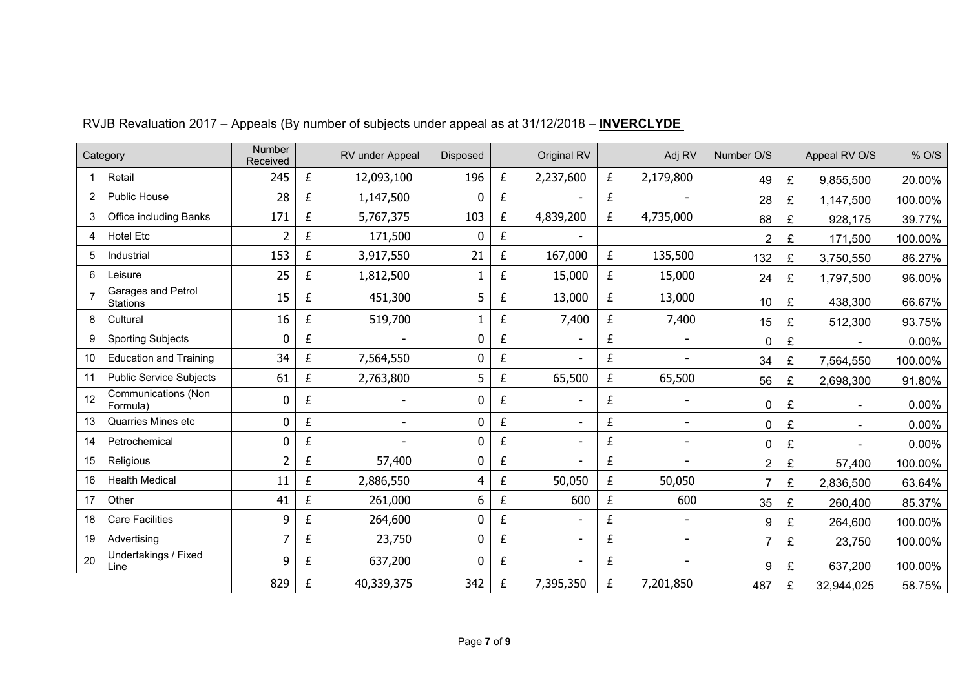|                | Category                               | <b>Number</b><br>Received |   | RV under Appeal | <b>Disposed</b> |   | Original RV    |   | Adj RV                   | Number O/S     |   | Appeal RV O/S  | % O/S   |
|----------------|----------------------------------------|---------------------------|---|-----------------|-----------------|---|----------------|---|--------------------------|----------------|---|----------------|---------|
|                | Retail                                 | 245                       | £ | 12,093,100      | 196             | £ | 2,237,600      | £ | 2,179,800                | 49             | £ | 9,855,500      | 20.00%  |
| $\overline{2}$ | Public House                           | 28                        | £ | 1,147,500       | 0               | £ | $\blacksquare$ | £ |                          | 28             | £ | 1,147,500      | 100.00% |
| 3              | Office including Banks                 | 171                       | £ | 5,767,375       | 103             | £ | 4,839,200      | £ | 4,735,000                | 68             | £ | 928,175        | 39.77%  |
| 4              | Hotel Etc                              | 2                         | £ | 171,500         | 0               | £ |                |   |                          | 2              | £ | 171,500        | 100.00% |
| 5              | Industrial                             | 153                       | £ | 3,917,550       | 21              | £ | 167,000        | £ | 135,500                  | 132            | £ | 3,750,550      | 86.27%  |
| 6              | Leisure                                | 25                        | £ | 1,812,500       |                 | £ | 15,000         | £ | 15,000                   | 24             | £ | 1,797,500      | 96.00%  |
|                | Garages and Petrol<br>Stations         | 15                        | £ | 451,300         | 5               | £ | 13,000         | £ | 13,000                   | 10             | £ | 438,300        | 66.67%  |
| 8              | Cultural                               | 16                        | £ | 519,700         |                 | £ | 7,400          | £ | 7,400                    | 15             | £ | 512,300        | 93.75%  |
| 9              | <b>Sporting Subjects</b>               | 0                         | £ |                 | 0               | £ | L,             | £ |                          | 0              | £ |                | 0.00%   |
| 10             | <b>Education and Training</b>          | 34                        | £ | 7,564,550       | 0               | £ |                | £ |                          | 34             | £ | 7,564,550      | 100.00% |
| 11             | <b>Public Service Subjects</b>         | 61                        | £ | 2,763,800       | 5               | £ | 65,500         | £ | 65,500                   | 56             | £ | 2,698,300      | 91.80%  |
| 12             | <b>Communications (Non</b><br>Formula) | 0                         | £ | $\blacksquare$  | 0               | £ |                | £ |                          | 0              | £ |                | 0.00%   |
| 13             | Quarries Mines etc                     | 0                         | £ |                 | $\mathbf 0$     | £ | $\blacksquare$ | £ | $\overline{\phantom{a}}$ | 0              | £ |                | 0.00%   |
| 14             | Petrochemical                          | 0                         | £ |                 | $\mathbf 0$     | £ | $\blacksquare$ | £ | $\overline{\phantom{a}}$ | 0              | £ | $\overline{a}$ | 0.00%   |
| 15             | Religious                              | $\overline{2}$            | £ | 57,400          | 0               | £ |                | £ |                          | $\overline{2}$ | £ | 57,400         | 100.00% |
| 16             | <b>Health Medical</b>                  | 11                        | £ | 2,886,550       | 4               | £ | 50,050         | £ | 50,050                   | $\overline{7}$ | £ | 2,836,500      | 63.64%  |
| 17             | Other                                  | 41                        | £ | 261,000         | 6               | £ | 600            | £ | 600                      | 35             | £ | 260,400        | 85.37%  |
| 18             | <b>Care Facilities</b>                 | 9                         | £ | 264,600         | 0               | £ | L,             | £ | $\overline{\phantom{a}}$ | 9              | £ | 264,600        | 100.00% |
| 19             | Advertising                            | 7                         | £ | 23,750          | 0               | £ |                | £ |                          | 7              | £ | 23,750         | 100.00% |
| 20             | Undertakings / Fixed<br>Line           | 9                         | £ | 637,200         | 0               | £ | $\blacksquare$ | £ |                          | 9              | £ | 637,200        | 100.00% |
|                |                                        | 829                       | £ | 40,339,375      | 342             | £ | 7,395,350      | £ | 7,201,850                | 487            | £ | 32,944,025     | 58.75%  |

# RVJB Revaluation 2017 – Appeals (By number of subjects under appeal as at 31/12/2018 – **INVERCLYDE**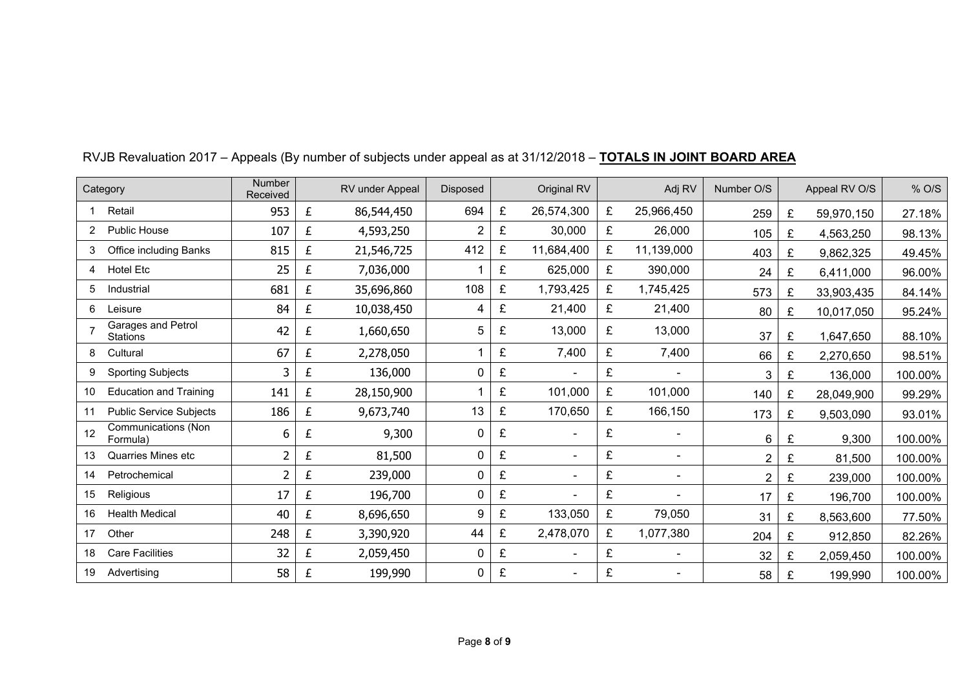| Category                                     | <b>Number</b><br>Received |   | RV under Appeal | <b>Disposed</b> |   | Original RV    |   | Adj RV         | Number O/S     |   | Appeal RV O/S | % O/S   |
|----------------------------------------------|---------------------------|---|-----------------|-----------------|---|----------------|---|----------------|----------------|---|---------------|---------|
| Retail                                       | 953                       | £ | 86,544,450      | 694             | £ | 26,574,300     | £ | 25,966,450     | 259            | £ | 59,970,150    | 27.18%  |
| <b>Public House</b>                          | 107                       | £ | 4,593,250       | $\overline{2}$  | £ | 30,000         | £ | 26,000         | 105            | £ | 4,563,250     | 98.13%  |
| Office including Banks<br>3                  | 815                       | £ | 21,546,725      | 412             | £ | 11,684,400     | £ | 11,139,000     | 403            | £ | 9,862,325     | 49.45%  |
| <b>Hotel Etc</b>                             | 25                        | £ | 7,036,000       |                 | £ | 625,000        | £ | 390,000        | 24             | £ | 6,411,000     | 96.00%  |
| 5<br>Industrial                              | 681                       | £ | 35,696,860      | 108             | £ | 1,793,425      | £ | 1,745,425      | 573            | £ | 33,903,435    | 84.14%  |
| 6<br>Leisure                                 | 84                        | £ | 10,038,450      |                 | £ | 21,400         | £ | 21,400         | 80             | £ | 10,017,050    | 95.24%  |
| Garages and Petrol<br><b>Stations</b>        | 42                        | £ | 1,660,650       | 5               | £ | 13,000         | £ | 13,000         | 37             | £ | 1,647,650     | 88.10%  |
| Cultural<br>8                                | 67                        | £ | 2,278,050       |                 | £ | 7,400          | £ | 7,400          | 66             | £ | 2,270,650     | 98.51%  |
| <b>Sporting Subjects</b><br>9                | 3                         | £ | 136,000         | 0               | £ | $\blacksquare$ | £ |                | 3              | £ | 136,000       | 100.00% |
| <b>Education and Training</b><br>10          | 141                       | £ | 28,150,900      |                 | £ | 101,000        | £ | 101,000        | 140            | £ | 28,049,900    | 99.29%  |
| <b>Public Service Subjects</b><br>11         | 186                       | £ | 9,673,740       | 13              | £ | 170,650        | £ | 166,150        | 173            | £ | 9,503,090     | 93.01%  |
| <b>Communications (Non</b><br>12<br>Formula) | 6                         | £ | 9,300           | 0               | £ | ÷              | £ |                | 6              | £ | 9,300         | 100.00% |
| <b>Quarries Mines etc</b><br>13              | 2                         | £ | 81,500          | 0               | £ | $\blacksquare$ | £ | $\blacksquare$ | $\overline{2}$ | £ | 81,500        | 100.00% |
| Petrochemical<br>14                          | 2                         | £ | 239,000         | 0               | £ | ٠              | £ |                | $\overline{2}$ | £ | 239,000       | 100.00% |
| 15<br>Religious                              | 17                        | £ | 196,700         | $\mathbf 0$     | £ | ٠              | £ |                | 17             | £ | 196,700       | 100.00% |
| <b>Health Medical</b><br>16                  | 40                        | £ | 8,696,650       | 9               | £ | 133,050        | £ | 79,050         | 31             | £ | 8,563,600     | 77.50%  |
| Other<br>17                                  | 248                       | £ | 3,390,920       | 44              | £ | 2,478,070      | £ | 1,077,380      | 204            | £ | 912,850       | 82.26%  |
| <b>Care Facilities</b><br>18                 | 32                        | £ | 2,059,450       | $\mathbf{0}$    | £ | $\blacksquare$ | £ |                | 32             | £ | 2,059,450     | 100.00% |
| Advertising<br>19                            | 58                        | £ | 199,990         | 0               | £ | ۰              | £ |                | 58             | £ | 199,990       | 100.00% |

# RVJB Revaluation 2017 – Appeals (By number of subjects under appeal as at 31/12/2018 – **TOTALS IN JOINT BOARD AREA**